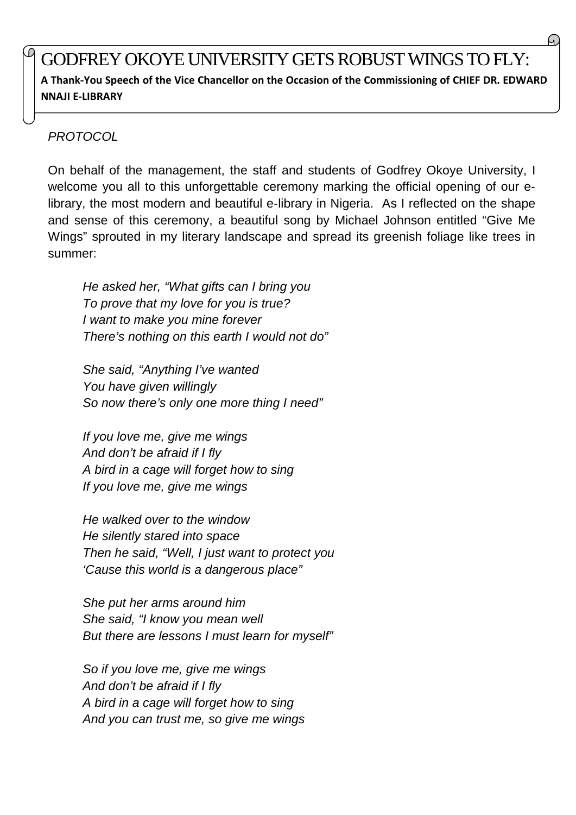## GODFREY OKOYE UNIVERSITY GETS ROBUST WINGS TO FLY:

**A Thank-You Speech of the Vice Chancellor on the Occasion of the Commissioning of CHIEF DR. EDWARD NNAJI E-LIBRARY**

## *PROTOCOL*

On behalf of the management, the staff and students of Godfrey Okoye University, I welcome you all to this unforgettable ceremony marking the official opening of our elibrary, the most modern and beautiful e-library in Nigeria. As I reflected on the shape and sense of this ceremony, a beautiful song by Michael Johnson entitled "Give Me Wings" sprouted in my literary landscape and spread its greenish foliage like trees in summer:

*He asked her, "What gifts can I bring you To prove that my love for you is true? I want to make you mine forever There's nothing on this earth I would not do"*

*She said, "Anything I've wanted You have given willingly So now there's only one more thing I need"*

*If you love me, give me wings And don't be afraid if I fly A bird in a cage will forget how to sing If you love me, give me wings*

*He walked over to the window He silently stared into space Then he said, "Well, I just want to protect you 'Cause this world is a dangerous place"*

*She put her arms around him She said, "I know you mean well But there are lessons I must learn for myself"*

*So if you love me, give me wings And don't be afraid if I fly A bird in a cage will forget how to sing And you can trust me, so give me wings*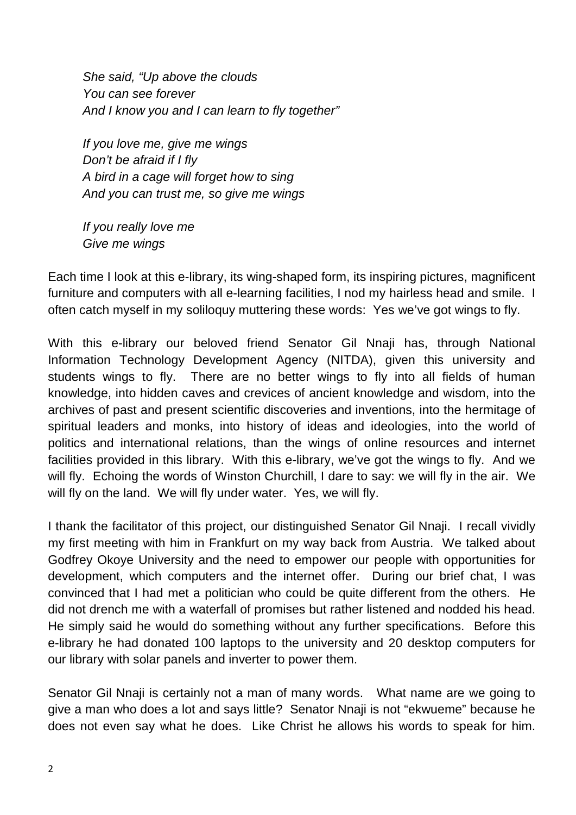*She said, "Up above the clouds You can see forever And I know you and I can learn to fly together"*

*If you love me, give me wings Don't be afraid if I fly A bird in a cage will forget how to sing And you can trust me, so give me wings*

*If you really love me Give me wings*

Each time I look at this e-library, its wing-shaped form, its inspiring pictures, magnificent furniture and computers with all e-learning facilities, I nod my hairless head and smile. I often catch myself in my soliloquy muttering these words: Yes we've got wings to fly.

With this e-library our beloved friend Senator Gil Nnaji has, through National Information Technology Development Agency (NITDA), given this university and students wings to fly. There are no better wings to fly into all fields of human knowledge, into hidden caves and crevices of ancient knowledge and wisdom, into the archives of past and present scientific discoveries and inventions, into the hermitage of spiritual leaders and monks, into history of ideas and ideologies, into the world of politics and international relations, than the wings of online resources and internet facilities provided in this library. With this e-library, we've got the wings to fly. And we will fly. Echoing the words of Winston Churchill, I dare to say: we will fly in the air. We will fly on the land. We will fly under water. Yes, we will fly.

I thank the facilitator of this project, our distinguished Senator Gil Nnaji. I recall vividly my first meeting with him in Frankfurt on my way back from Austria. We talked about Godfrey Okoye University and the need to empower our people with opportunities for development, which computers and the internet offer. During our brief chat, I was convinced that I had met a politician who could be quite different from the others. He did not drench me with a waterfall of promises but rather listened and nodded his head. He simply said he would do something without any further specifications. Before this e-library he had donated 100 laptops to the university and 20 desktop computers for our library with solar panels and inverter to power them.

Senator Gil Nnaji is certainly not a man of many words. What name are we going to give a man who does a lot and says little? Senator Nnaji is not "ekwueme" because he does not even say what he does. Like Christ he allows his words to speak for him.